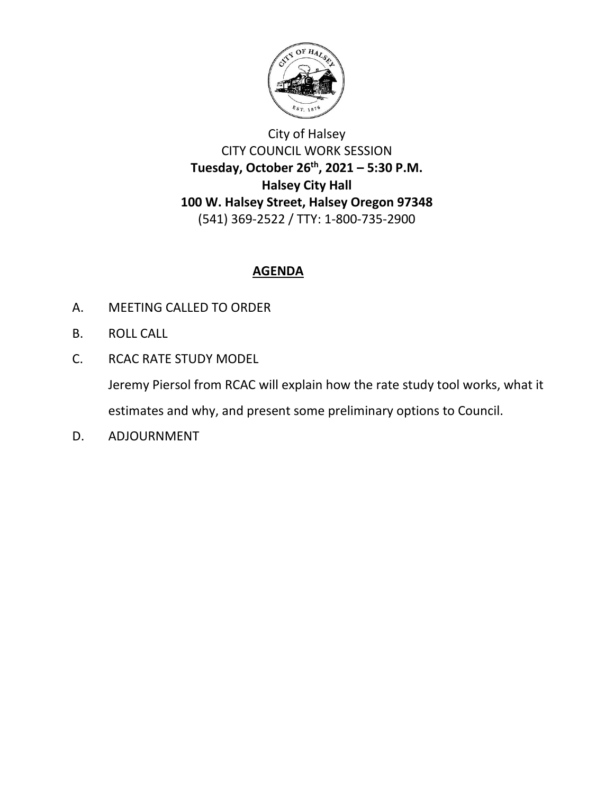

# City of Halsey CITY COUNCIL WORK SESSION **Tuesday, October 26th, 2021 – 5:30 P.M. Halsey City Hall 100 W. Halsey Street, Halsey Oregon 97348** (541) 369-2522 / TTY: 1-800-735-2900

## **AGENDA**

- A. MEETING CALLED TO ORDER
- B. ROLL CALL
- C. RCAC RATE STUDY MODEL

Jeremy Piersol from RCAC will explain how the rate study tool works, what it estimates and why, and present some preliminary options to Council.

D. ADJOURNMENT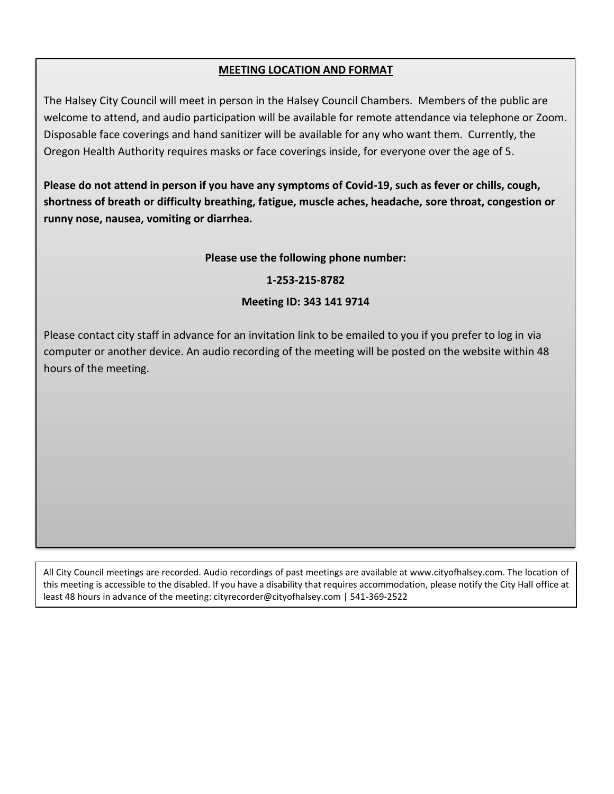### **MEETING LOCATION AND FORMAT**

The Halsey City Council will meet in person in the Halsey Council Chambers. Members of the public are welcome to attend, and audio participation will be available for remote attendance via telephone or Zoom. Disposable face coverings and hand sanitizer will be available for any who want them. Currently, the Oregon Health Authority requires masks or face coverings inside, for everyone over the age of 5.

**Please do not attend in person if you have any symptoms of Covid-19, such as fever or chills, cough, shortness of breath or difficulty breathing, fatigue, muscle aches, headache, sore throat, congestion or runny nose, nausea, vomiting or diarrhea.**

#### **Please use the following phone number:**

#### **1-253-215-8782**

#### **Meeting ID: 343 141 9714**

Please contact city staff in advance for an invitation link to be emailed to you if you prefer to log in via computer or another device. An audio recording of the meeting will be posted on the website within 48 hours of the meeting.

All City Council meetings are recorded. Audio recordings of past meetings are available at www.cityofhalsey.com. The location of this meeting is accessible to the disabled. If you have a disability that requires accommodation, please notify the City Hall office at least 48 hours in advance of the meeting: cityrecorder@cityofhalsey.com | 541-369-2522